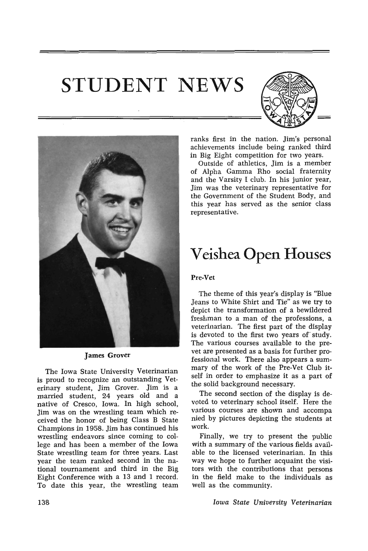# **STUDENT NEWS**





James Grover

The Iowa State University Veterinarian is proud to recognize an outstanding Veterinary student, Jim Grover. Jim is a married student, 24 years old and a native of Cresco, Iowa. In high school, Jim was on the wrestling team which received the honor of being Class B State Champions in 1958. Jim has continued his wrestling endeavors since coming to college and has been a member of the Iowa State wrestling team for three years. Last year the team ranked second in the national tournament and third in the Big Eight Conference with a 13 and 1 record. To date this year, the wrestling team

ranks first in the nation. Jim's personal achievements include being ranked third in Big Eight competition for two years.

Outside of athletics, Jim is a member of Alpha Gamma Rho social fraternity and the Varsity I club. In his junior year, Jim was the veterinary representative for the Government of the Student Body, and this year has served as the senior class representative.

### **Veishea Open Houses**

#### Pre-Vet

The theme of this year's display is "BIue Jeans to White Shirt and Tie" as we try to depict the transformation of a bewildered freshman to a man of the professions, a veterinarian. The first part of the display is devoted to the first two years of study. The various courses available to the prevet are presented as a basis for further professional work. There also appears a summary of the work of the Pre-Vet Club itself in order to emphasize it as a part of the solid background necessary.

The second section of the display is devoted to veterinary school itself. Here the various courses are shown and accompa nied by pictures depicting the students at work.

Finally, we try to present the public with a summary of the various fields available to the licensed veterinarian. In this way we hope to further acquaint the visitors with the contributions that persons in the field make to the individuals as well as the community.

*Iowa State University Veterinarian*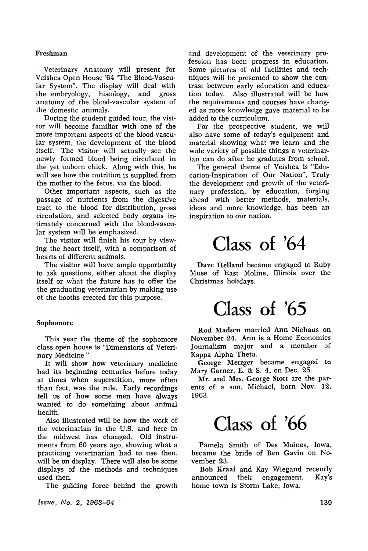#### Freshman

Veterinary Anatomy .will present for Veishea Open House 'S4 "The Blood-Vascular System". The display will deal with the embryology, histology, and gross anatomy of the blood-vascular system of the domestic animals.

During the student guided tour, the visitor will become familiar with one of the more important aspects of the blood-vascular system, the development of the blood itself. The visitor will actually see the newly formed blood being circulated in the yet unborn chick. Along with this, he will see how the nutrition is supplied from the mother to the fetus, via the blood.

Other important aspects, such as the passage of nutrients from the digestive tract to the blood for distribution, gross circulation, and selected body organs intimately concerned with the blood-vascular system will be emphasized.

The visitor will finish his tour by viewing the heart itself, with a comparison of hearts of different animals.

The visitor will have ample opportunity to ask questions, either about the display itself or what the future has to offer the the graduating veterinarian by making use of the booths erected for this purpose.

#### Sophomore

This year the theme of the sophomore class open house is "Dimensions of Veterinary Medicine."

It will show how veterinary medicine had its beginning centuries before today at times when superstition, more often than fact, was the rule. Early recordings tell us of how some men have always wanted to do something about animal health.

Also illustrated will be how the work of the veterinarian in the U.S. and here in the midwest has changed. Old instruments from SO years ago, showing what a practicing veterinarian had to use then, will be on display. There will also be some displays of the methods and techniques used then.

The guiding force behind the growth

*Issue, No.2,* 1963-64 .

and development of the veterinary profession has been progress in education. Some pictures of old facilities and techniques will be presented to show the contrast between early education and education today. Also illustrated will be how the requirements and courses have changed as more knowledge gave material to be added to the curriculum.

For the prospective student, we will also have some of today's equipment and material showing what we learn and the wide variety of possible things a veterinarian can do after he gradutes from school.

The general theme of Veishea is "Education-Inspiration of Our Nation", Truly the development and growth of the veterinary profession, by education, forging ahead with better methods, materials, ideas and more knowledge, has been an inspiration to our nation.

# **Class of '64**

Dave Helland became engaged to Ruby Muse of East Moline, Illinois over the Christmas holidays.

### **Class of '65**

Rod Madsen married Ann Niehaus on November 24. Ann is a Home Economics Journalism major and a member of Kappa Alpha Theta.

George Metzger became engaged to Mary Garner, E. & S. 4, on Dec. 25.

Mr. and Mrs. George Stott are the parents of a son, Michael, born Nov. 12, 1963.

### **Class of '66**

Pamela Smith of Des Moines, Iowa, became the bride of Ben Gavin on November 23.

Bob Kraai and Kay Wiegand recently announced their engagement. Kay's home town is Storm Lake, Iowa.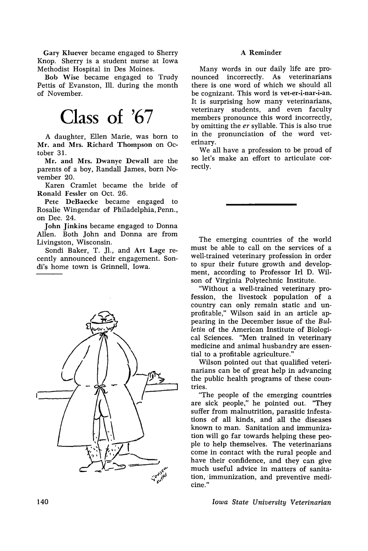Gary Kluever became engaged to Sherry Knop. Sherry is a student nurse at Iowa Methodist Hospital in Des Moines.

Bob Wise became engaged to Trudy Pettis of Evanston, Ill. during the month of November.

## **Class of '67**

A daughter, Ellen Marie, was born to Mr. and Mrs. Richard Thompson on October 31.

Mr. and Mrs. Dwanye Dewall are the parents of a boy, Randall James, born November 20.

Karen Cramlet became the bride of Ronald Fessler on Oct. 26.

Pete DeBaecke became engaged to Rosalie Wingendar of Philadelphia, Penn., on Dec. 24.

John Jinkins became engaged to Donna Allen. Both John and Donna are from Livingston, Wisconsin.

Sondi Baker, T. J1., and Art Lage recently announced their engagement. Sondi's home town is Grinnell, Iowa.



#### A Reminder

Many words in our daily life are pronounced incorrectly. As veterinarians there is one word of which we should all be cognizant. This word is vet-er-i-nar-i-an. It is surprising how many veterinarians, veterinary students, and even faculty members pronounce this word incorrectly, by omitting the *er* syllable. This is also true in the pronunciation of the word veterinary.

We all have a profession to be proud of so let's make an effort to articulate correctly.

The emerging countries of the world must be able to call on the services of a well-trained veterinary profession in order to spur their future growth and development, according to Professor Irl D. Wilson of Virginia Polytechnic Institute.

"Without a well-trained veterinary profession, the livestock population of a country can only remain static and unprofitable," Wilson said in an article appearing in the December issue of the *Bulletin* of the American Institute of Biological Sciences. "Men trained in veterinary medicine and animal husbandry are essential to a profitable agriculture."

Wilson pointed out that qualified veterinarians can be of great help in advancing the public health programs of these countries.

"The people of the emerging countries are sick people," he pointed out. "They suffer from malnutrition, parasitic infestations of all kinds, and all the diseases known to man. Sanitation and immunization will go far towards helping these people to help themselves. The veterinarians come in contact with the rural people and have their confidence, and they can give much useful advice in matters of sanitation, immunization, and preventive medicine."

*Iowa State University Veterinarian*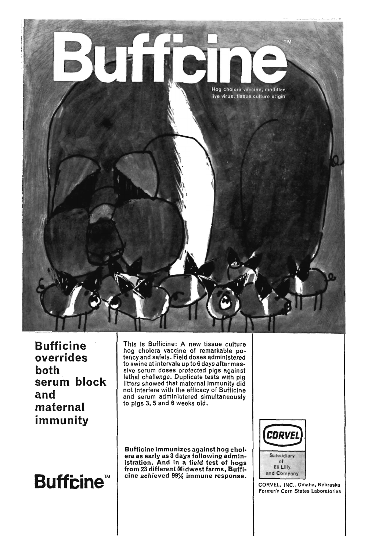

**Bufficine overrides both serum block and maternal immunity** 



This is Bufficine: A new tissue culture hog cholera vaccine of remarkable potency and safety. Field doses administered to swine at intervals up to 6 days after massive serum doses protected pigs against lethal challenge. Duplicate tests with pig litters showed that maternal immunity did not interfere with the efficacy of Bufficine and serum administered simultaneously to pigs 3, 5 and 6 weeks old.

Bufficine immunizes against hog chol. era as early as 3 days following administration. And in a field test of hogs from 23 different Midwest farms, Bufficine achieved 99% immune response.



CORVEL, INC., Omaha, Nebraska Formerly Corn States Laboratories